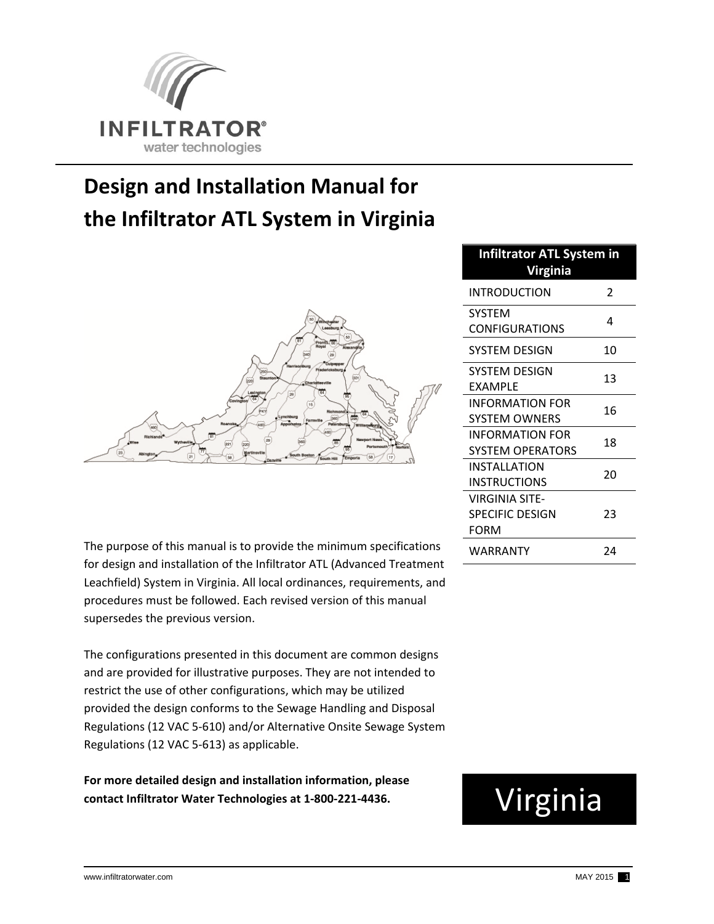

## **Design and Installation Manual for the Infiltrator ATL System in Virginia**



The purpose of this manual is to provide the minimum specifications for design and installation of the Infiltrator ATL (Advanced Treatment Leachfield) System in Virginia. All local ordinances, requirements, and procedures must be followed. Each revised version of this manual supersedes the previous version.

The configurations presented in this document are common designs and are provided for illustrative purposes. They are not intended to restrict the use of other configurations, which may be utilized provided the design conforms to the Sewage Handling and Disposal Regulations (12 VAC 5‐610) and/or Alternative Onsite Sewage System Regulations (12 VAC 5‐613) as applicable.

**For more detailed design and installation information, please contact Infiltrator Water Technologies at 1‐800‐221‐4436.**

| <b>Infiltrator ATL System in</b><br><b>Virginia</b> |    |  |  |
|-----------------------------------------------------|----|--|--|
| INTRODUCTION                                        | 2  |  |  |
| SYSTEM<br><b>CONFIGURATIONS</b>                     | 4  |  |  |
| SYSTEM DESIGN                                       | 10 |  |  |
| SYSTEM DESIGN<br>EXAMPLE                            | 13 |  |  |
| INFORMATION FOR<br>SYSTEM OWNERS                    | 16 |  |  |
| INFORMATION FOR<br><b>SYSTEM OPERATORS</b>          | 18 |  |  |
| INSTALLATION<br>INSTRUCTIONS                        | 20 |  |  |
| VIRGINIA SITE-<br><b>SPECIFIC DESIGN</b><br>FORM    | 23 |  |  |
| WARRANTY                                            | 24 |  |  |

# Virginia

j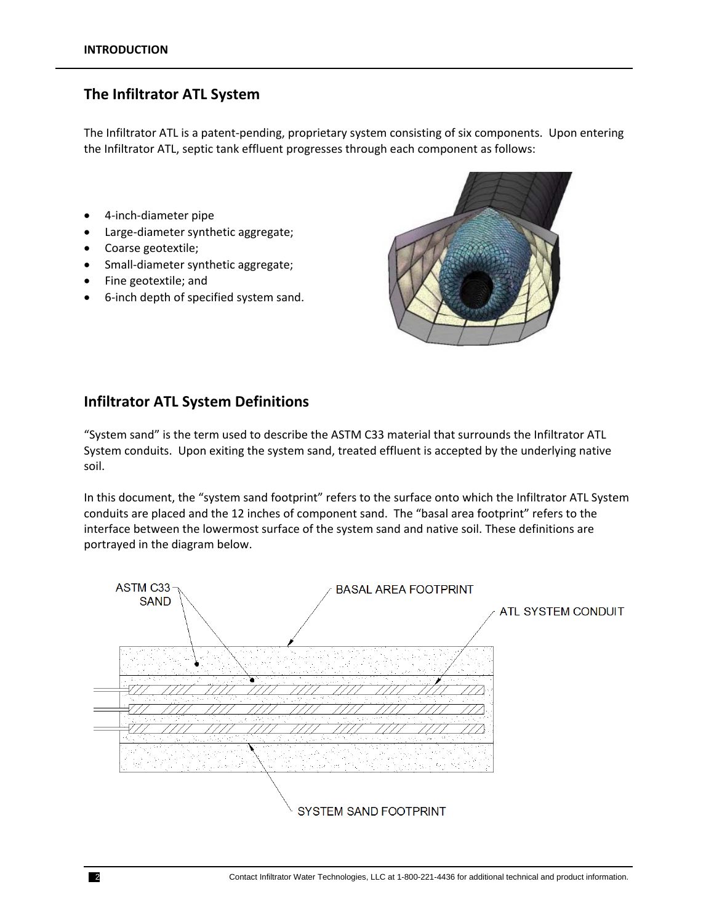## **The Infiltrator ATL System**

The Infiltrator ATL is a patent‐pending, proprietary system consisting of six components. Upon entering the Infiltrator ATL, septic tank effluent progresses through each component as follows:

- 4‐inch‐diameter pipe
- Large‐diameter synthetic aggregate;
- Coarse geotextile;
- Small-diameter synthetic aggregate;
- Fine geotextile; and
- 6‐inch depth of specified system sand.



#### **Infiltrator ATL System Definitions**

"System sand" is the term used to describe the ASTM C33 material that surrounds the Infiltrator ATL System conduits. Upon exiting the system sand, treated effluent is accepted by the underlying native soil.

In this document, the "system sand footprint" refers to the surface onto which the Infiltrator ATL System conduits are placed and the 12 inches of component sand. The "basal area footprint" refers to the interface between the lowermost surface of the system sand and native soil. These definitions are portrayed in the diagram below.

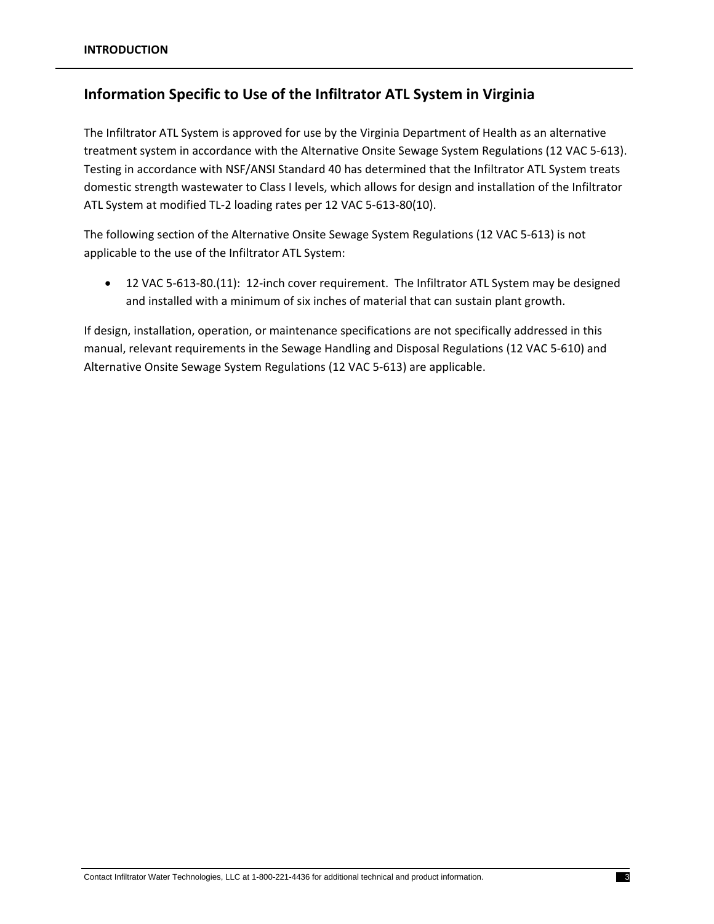## **Information Specific to Use of the Infiltrator ATL System in Virginia**

The Infiltrator ATL System is approved for use by the Virginia Department of Health as an alternative treatment system in accordance with the Alternative Onsite Sewage System Regulations (12 VAC 5‐613). Testing in accordance with NSF/ANSI Standard 40 has determined that the Infiltrator ATL System treats domestic strength wastewater to Class I levels, which allows for design and installation of the Infiltrator ATL System at modified TL‐2 loading rates per 12 VAC 5‐613‐80(10).

The following section of the Alternative Onsite Sewage System Regulations (12 VAC 5‐613) is not applicable to the use of the Infiltrator ATL System:

 12 VAC 5‐613‐80.(11): 12‐inch cover requirement. The Infiltrator ATL System may be designed and installed with a minimum of six inches of material that can sustain plant growth.

If design, installation, operation, or maintenance specifications are not specifically addressed in this manual, relevant requirements in the Sewage Handling and Disposal Regulations (12 VAC 5‐610) and Alternative Onsite Sewage System Regulations (12 VAC 5‐613) are applicable.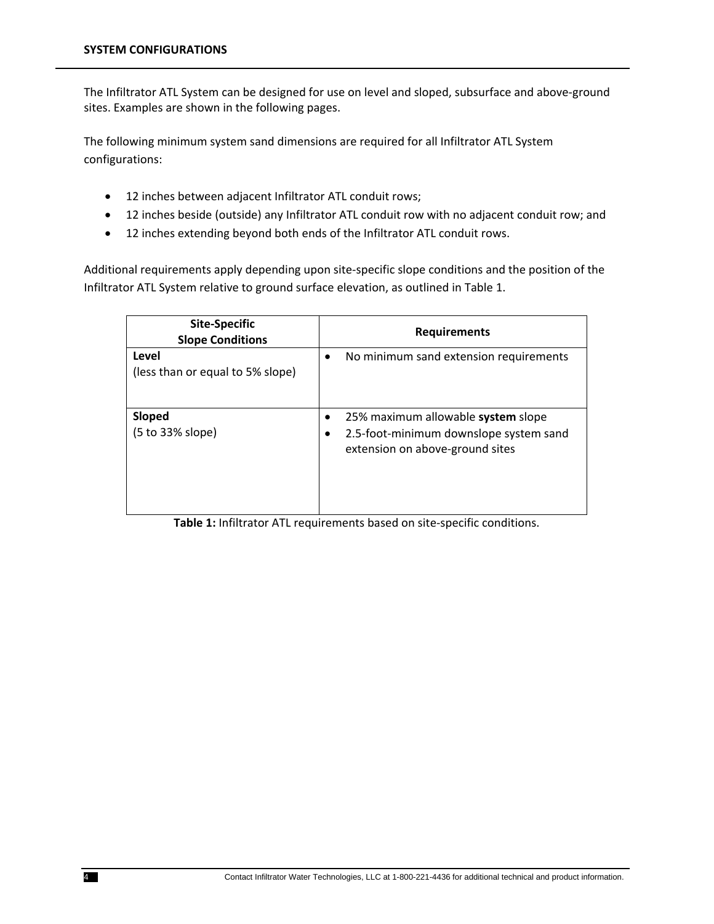The Infiltrator ATL System can be designed for use on level and sloped, subsurface and above‐ground sites. Examples are shown in the following pages.

The following minimum system sand dimensions are required for all Infiltrator ATL System configurations:

- 12 inches between adjacent Infiltrator ATL conduit rows;
- 12 inches beside (outside) any Infiltrator ATL conduit row with no adjacent conduit row; and
- 12 inches extending beyond both ends of the Infiltrator ATL conduit rows.

Additional requirements apply depending upon site‐specific slope conditions and the position of the Infiltrator ATL System relative to ground surface elevation, as outlined in Table 1.

| <b>Site-Specific</b><br><b>Slope Conditions</b> |                | <b>Requirements</b>                                                                                             |
|-------------------------------------------------|----------------|-----------------------------------------------------------------------------------------------------------------|
| Level<br>(less than or equal to 5% slope)       | $\bullet$      | No minimum sand extension requirements                                                                          |
| Sloped<br>(5 to 33% slope)                      | ٠<br>$\bullet$ | 25% maximum allowable system slope<br>2.5-foot-minimum downslope system sand<br>extension on above-ground sites |

**Table 1:** Infiltrator ATL requirements based on site‐specific conditions.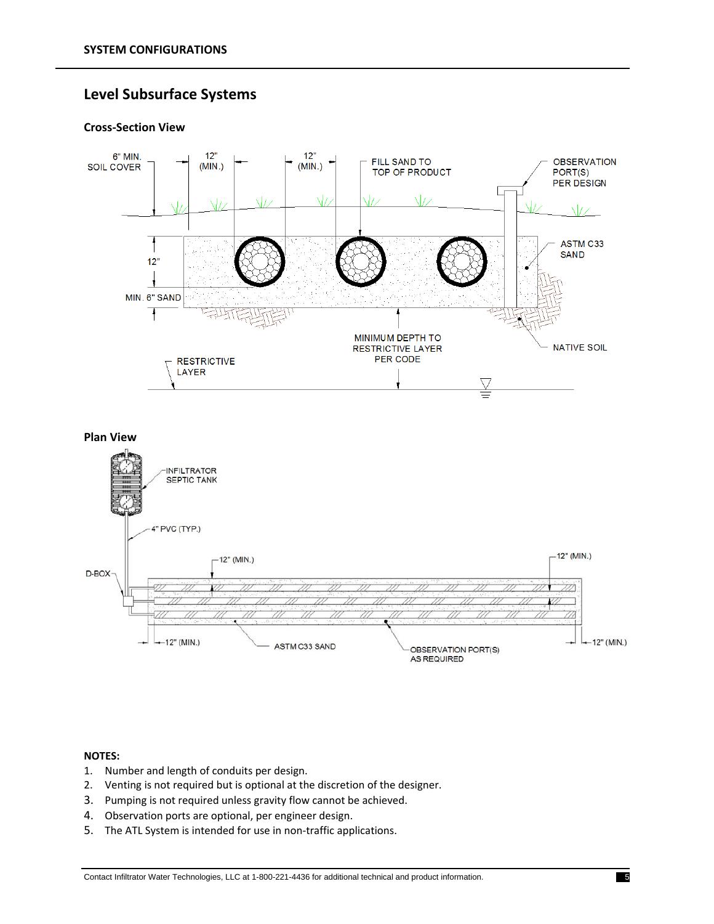## **Level Subsurface Systems**

#### **Cross‐Section View**





- 1. Number and length of conduits per design.
- 2. Venting is not required but is optional at the discretion of the designer.
- 3. Pumping is not required unless gravity flow cannot be achieved.
- 4. Observation ports are optional, per engineer design.
- 5. The ATL System is intended for use in non-traffic applications.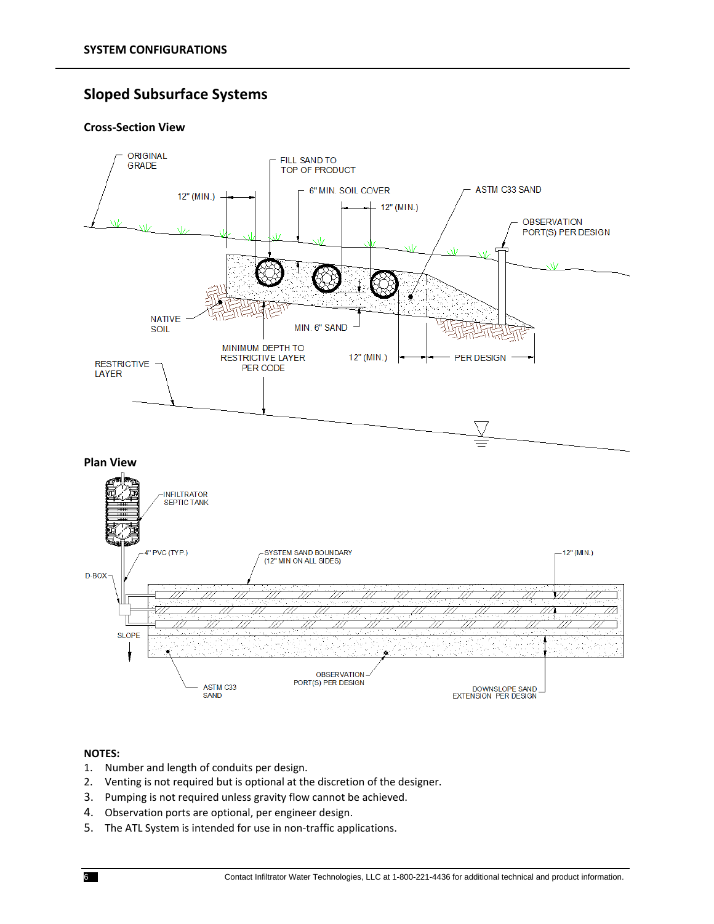## **Sloped Subsurface Systems**

#### **Cross‐Section View**



- 1. Number and length of conduits per design.
- 2. Venting is not required but is optional at the discretion of the designer.
- 3. Pumping is not required unless gravity flow cannot be achieved.
- 4. Observation ports are optional, per engineer design.
- 5. The ATL System is intended for use in non-traffic applications.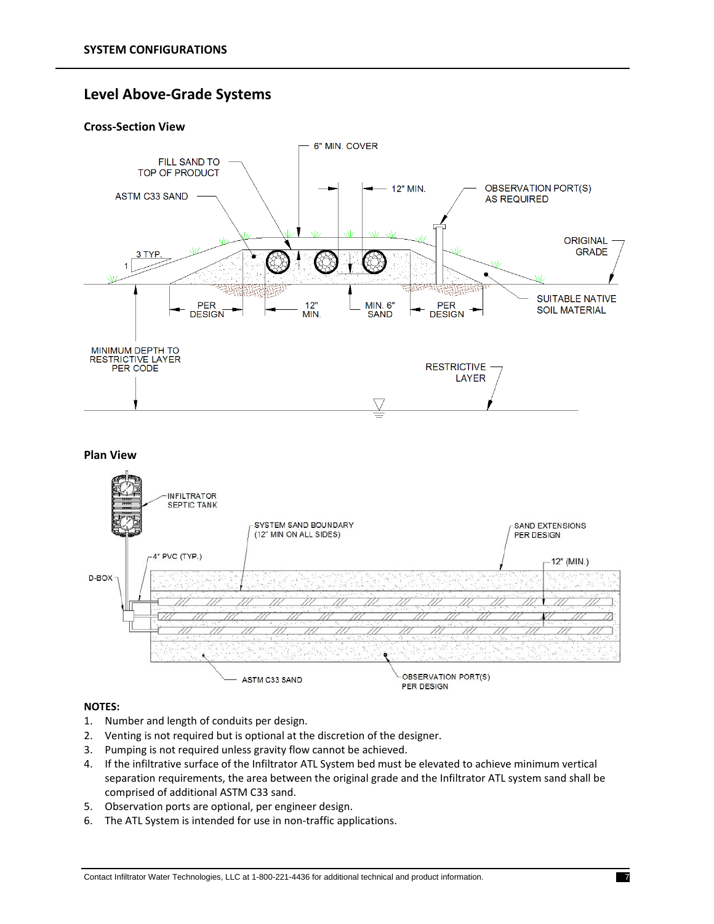## **Level Above‐Grade Systems**

#### **Cross‐Section View**





- 1. Number and length of conduits per design.
- 2. Venting is not required but is optional at the discretion of the designer.
- 3. Pumping is not required unless gravity flow cannot be achieved.
- 4. If the infiltrative surface of the Infiltrator ATL System bed must be elevated to achieve minimum vertical separation requirements, the area between the original grade and the Infiltrator ATL system sand shall be comprised of additional ASTM C33 sand.
- 5. Observation ports are optional, per engineer design.
- 6. The ATL System is intended for use in non‐traffic applications.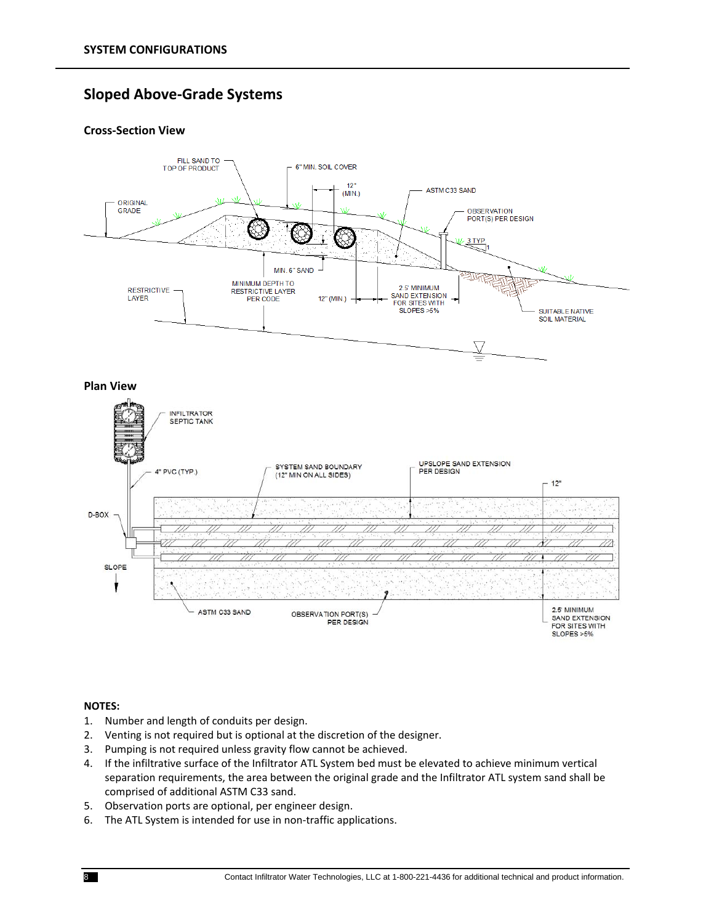## **Sloped Above‐Grade Systems**

#### **Cross‐Section View**



#### **NOTES:**

1

- 1. Number and length of conduits per design.
- 2. Venting is not required but is optional at the discretion of the designer.
- 3. Pumping is not required unless gravity flow cannot be achieved.
- 4. If the infiltrative surface of the Infiltrator ATL System bed must be elevated to achieve minimum vertical separation requirements, the area between the original grade and the Infiltrator ATL system sand shall be comprised of additional ASTM C33 sand.

OBSERVATION PORT(S)

PER DESIGN

5. Observation ports are optional, per engineer design.

ASTM C33 SAND

6. The ATL System is intended for use in non-traffic applications.

2.5' MINIMUM

SAND EXTENSION

FOR SITES WITH  $SLOPES > 5%$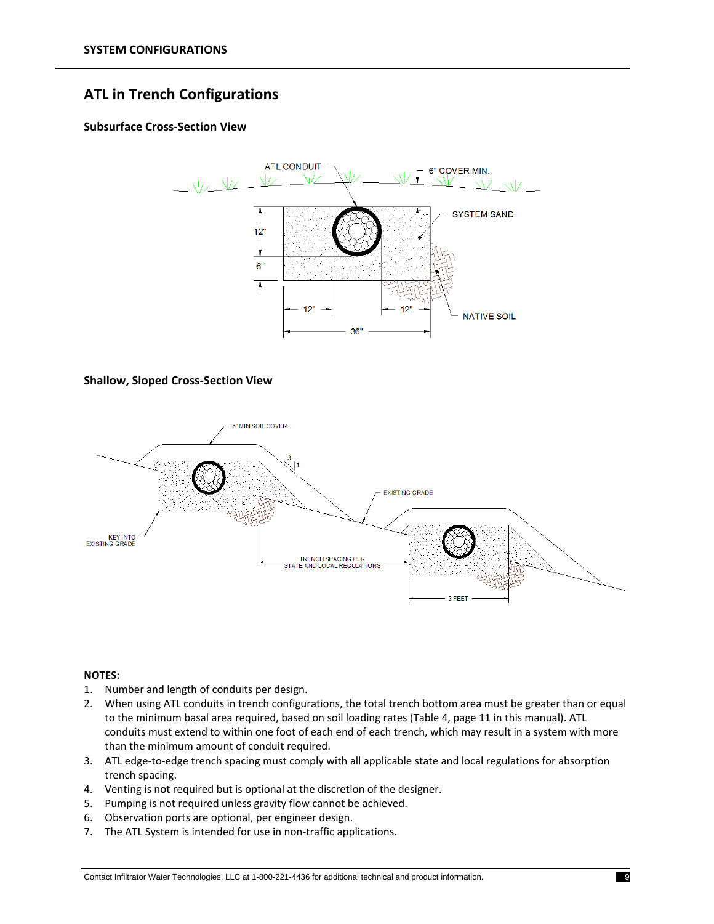## **ATL in Trench Configurations**

#### **Subsurface Cross‐Section View**



#### **Shallow, Sloped Cross‐Section View**



- 1. Number and length of conduits per design.
- 2. When using ATL conduits in trench configurations, the total trench bottom area must be greater than or equal to the minimum basal area required, based on soil loading rates (Table 4, page 11 in this manual). ATL conduits must extend to within one foot of each end of each trench, which may result in a system with more than the minimum amount of conduit required.
- 3. ATL edge‐to‐edge trench spacing must comply with all applicable state and local regulations for absorption trench spacing.
- 4. Venting is not required but is optional at the discretion of the designer.
- 5. Pumping is not required unless gravity flow cannot be achieved.
- 6. Observation ports are optional, per engineer design.
- 7. The ATL System is intended for use in non-traffic applications.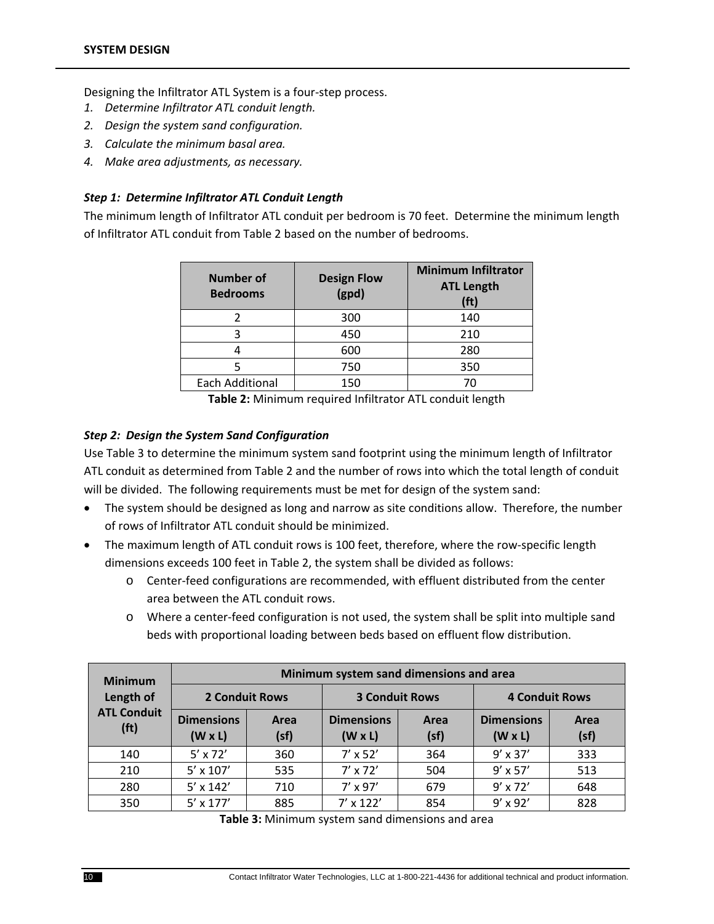Designing the Infiltrator ATL System is a four‐step process.

- *1. Determine Infiltrator ATL conduit length.*
- *2. Design the system sand configuration.*
- *3. Calculate the minimum basal area.*
- *4. Make area adjustments, as necessary.*

#### *Step 1: Determine Infiltrator ATL Conduit Length*

The minimum length of Infiltrator ATL conduit per bedroom is 70 feet. Determine the minimum length of Infiltrator ATL conduit from Table 2 based on the number of bedrooms.

| <b>Number of</b><br><b>Bedrooms</b> | <b>Design Flow</b><br>(gpd) | <b>Minimum Infiltrator</b><br><b>ATL Length</b><br>(f <sup>t</sup> ) |
|-------------------------------------|-----------------------------|----------------------------------------------------------------------|
|                                     | 300                         | 140                                                                  |
| ว                                   | 450                         | 210                                                                  |
|                                     | 600                         | 280                                                                  |
|                                     | 750                         | 350                                                                  |
| <b>Each Additional</b>              | 150                         |                                                                      |

**Table 2:** Minimum required Infiltrator ATL conduit length

#### *Step 2: Design the System Sand Configuration*

Use Table 3 to determine the minimum system sand footprint using the minimum length of Infiltrator ATL conduit as determined from Table 2 and the number of rows into which the total length of conduit will be divided. The following requirements must be met for design of the system sand:

- The system should be designed as long and narrow as site conditions allow. Therefore, the number of rows of Infiltrator ATL conduit should be minimized.
- The maximum length of ATL conduit rows is 100 feet, therefore, where the row-specific length dimensions exceeds 100 feet in Table 2, the system shall be divided as follows:
	- o Center‐feed configurations are recommended, with effluent distributed from the center area between the ATL conduit rows.
	- o Where a center‐feed configuration is not used, the system shall be split into multiple sand beds with proportional loading between beds based on effluent flow distribution.

| <b>Minimum</b>                          | Minimum system sand dimensions and area |              |                                     |              |                                     |              |
|-----------------------------------------|-----------------------------------------|--------------|-------------------------------------|--------------|-------------------------------------|--------------|
| Length of                               | <b>2 Conduit Rows</b>                   |              | <b>3 Conduit Rows</b>               |              | <b>4 Conduit Rows</b>               |              |
| <b>ATL Conduit</b><br>(f <sup>t</sup> ) | <b>Dimensions</b><br>$(W \times L)$     | Area<br>(sf) | <b>Dimensions</b><br>$(W \times L)$ | Area<br>(sf) | <b>Dimensions</b><br>$(W \times L)$ | Area<br>(sf) |
| 140                                     | $5' \times 72'$                         | 360          | $7'$ x 52'                          | 364          | $9' \times 37'$                     | 333          |
| 210                                     | $5' \times 107'$                        | 535          | $7' \times 72'$                     | 504          | $9' \times 57'$                     | 513          |
| 280                                     | $5' \times 142'$                        | 710          | $7' \times 97'$                     | 679          | $9' \times 72'$                     | 648          |
| 350                                     | $5' \times 177'$                        | 885          | $7' \times 122'$                    | 854          | $9' \times 92'$                     | 828          |

**Table 3:** Minimum system sand dimensions and area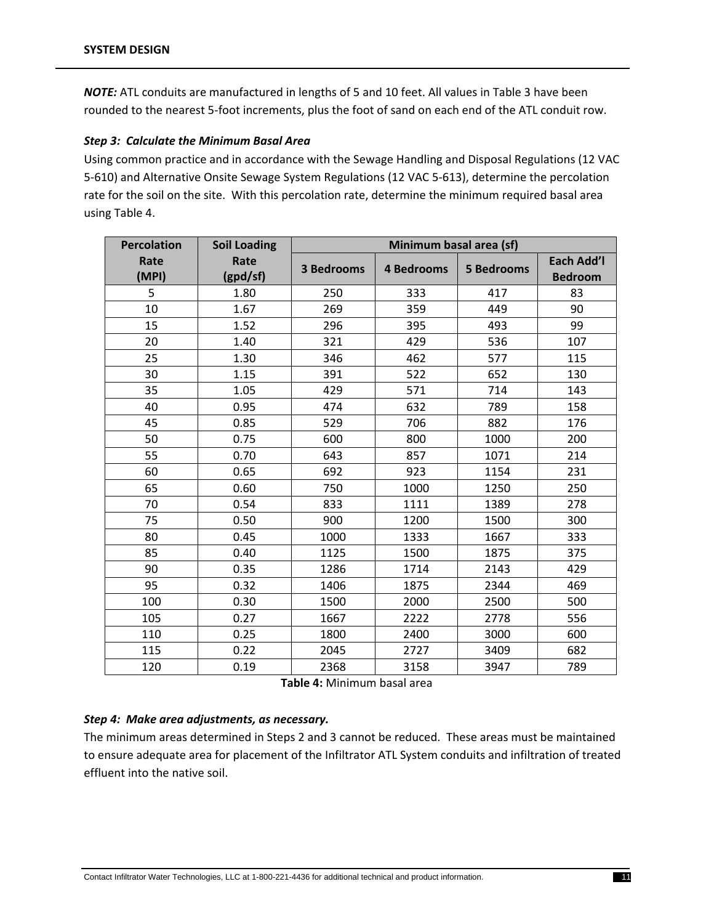*NOTE:* ATL conduits are manufactured in lengths of 5 and 10 feet. All values in Table 3 have been rounded to the nearest 5‐foot increments, plus the foot of sand on each end of the ATL conduit row.

#### *Step 3: Calculate the Minimum Basal Area*

Using common practice and in accordance with the Sewage Handling and Disposal Regulations (12 VAC 5‐610) and Alternative Onsite Sewage System Regulations (12 VAC 5‐613), determine the percolation rate for the soil on the site. With this percolation rate, determine the minimum required basal area using Table 4.

| <b>Percolation</b> | <b>Soil Loading</b> | Minimum basal area (sf) |                   |                   |                              |
|--------------------|---------------------|-------------------------|-------------------|-------------------|------------------------------|
| Rate<br>(MPI)      | Rate<br>(gpd/sf)    | <b>3 Bedrooms</b>       | <b>4 Bedrooms</b> | <b>5 Bedrooms</b> | Each Add'l<br><b>Bedroom</b> |
| 5                  | 1.80                | 250                     | 333               | 417               | 83                           |
| 10                 | 1.67                | 269                     | 359               | 449               | 90                           |
| 15                 | 1.52                | 296                     | 395               | 493               | 99                           |
| 20                 | 1.40                | 321                     | 429               | 536               | 107                          |
| 25                 | 1.30                | 346                     | 462               | 577               | 115                          |
| 30                 | 1.15                | 391                     | 522               | 652               | 130                          |
| 35                 | 1.05                | 429                     | 571               | 714               | 143                          |
| 40                 | 0.95                | 474                     | 632               | 789               | 158                          |
| 45                 | 0.85                | 529                     | 706               | 882               | 176                          |
| 50                 | 0.75                | 600                     | 800               | 1000              | 200                          |
| 55                 | 0.70                | 643                     | 857               | 1071              | 214                          |
| 60                 | 0.65                | 692                     | 923               | 1154              | 231                          |
| 65                 | 0.60                | 750                     | 1000              | 1250              | 250                          |
| 70                 | 0.54                | 833                     | 1111              | 1389              | 278                          |
| 75                 | 0.50                | 900                     | 1200              | 1500              | 300                          |
| 80                 | 0.45                | 1000                    | 1333              | 1667              | 333                          |
| 85                 | 0.40                | 1125                    | 1500              | 1875              | 375                          |
| 90                 | 0.35                | 1286                    | 1714              | 2143              | 429                          |
| 95                 | 0.32                | 1406                    | 1875              | 2344              | 469                          |
| 100                | 0.30                | 1500                    | 2000              | 2500              | 500                          |
| 105                | 0.27                | 1667                    | 2222              | 2778              | 556                          |
| 110                | 0.25                | 1800                    | 2400              | 3000              | 600                          |
| 115                | 0.22                | 2045                    | 2727              | 3409              | 682                          |
| 120                | 0.19                | 2368                    | 3158              | 3947              | 789                          |

**Table 4:** Minimum basal area

#### *Step 4: Make area adjustments, as necessary.*

The minimum areas determined in Steps 2 and 3 cannot be reduced. These areas must be maintained to ensure adequate area for placement of the Infiltrator ATL System conduits and infiltration of treated effluent into the native soil.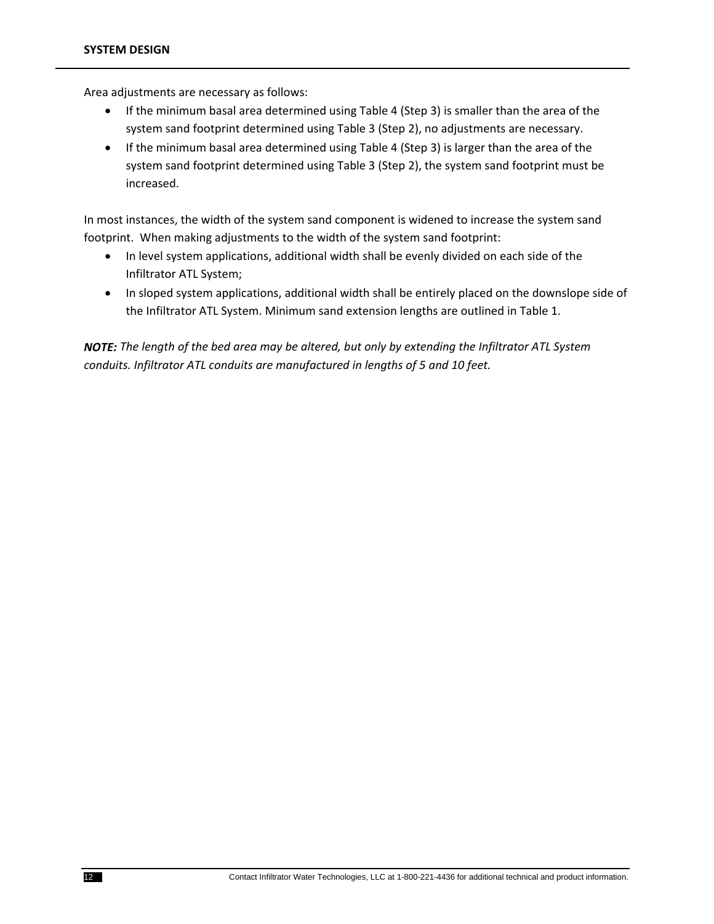Area adjustments are necessary as follows:

- If the minimum basal area determined using Table 4 (Step 3) is smaller than the area of the system sand footprint determined using Table 3 (Step 2), no adjustments are necessary.
- If the minimum basal area determined using Table 4 (Step 3) is larger than the area of the system sand footprint determined using Table 3 (Step 2), the system sand footprint must be increased.

In most instances, the width of the system sand component is widened to increase the system sand footprint. When making adjustments to the width of the system sand footprint:

- In level system applications, additional width shall be evenly divided on each side of the Infiltrator ATL System;
- In sloped system applications, additional width shall be entirely placed on the downslope side of the Infiltrator ATL System. Minimum sand extension lengths are outlined in Table 1.

*NOTE: The length of the bed area may be altered, but only by extending the Infiltrator ATL System conduits. Infiltrator ATL conduits are manufactured in lengths of 5 and 10 feet.*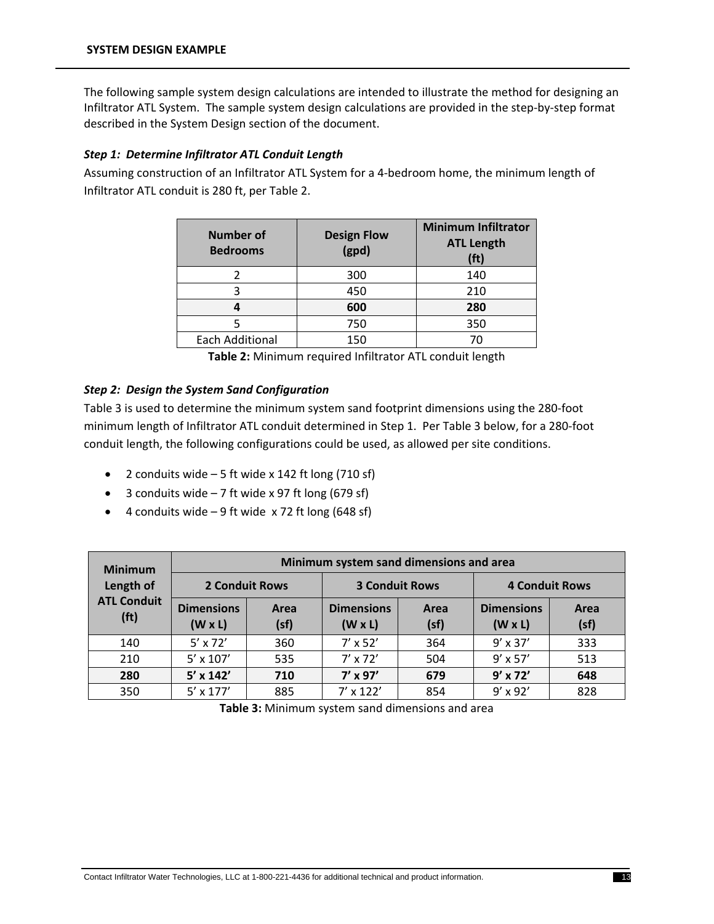The following sample system design calculations are intended to illustrate the method for designing an Infiltrator ATL System. The sample system design calculations are provided in the step‐by‐step format described in the System Design section of the document.

#### *Step 1: Determine Infiltrator ATL Conduit Length*

Assuming construction of an Infiltrator ATL System for a 4‐bedroom home, the minimum length of Infiltrator ATL conduit is 280 ft, per Table 2.

| <b>Number of</b><br><b>Bedrooms</b> | <b>Design Flow</b><br>(gpd) | <b>Minimum Infiltrator</b><br><b>ATL Length</b><br>(ft) |
|-------------------------------------|-----------------------------|---------------------------------------------------------|
|                                     | 300                         | 140                                                     |
|                                     | 450                         | 210                                                     |
|                                     | 600                         | 280                                                     |
|                                     | 750                         | 350                                                     |
| <b>Each Additional</b>              | 150                         | 70                                                      |

**Table 2:** Minimum required Infiltrator ATL conduit length

#### *Step 2: Design the System Sand Configuration*

Table 3 is used to determine the minimum system sand footprint dimensions using the 280‐foot minimum length of Infiltrator ATL conduit determined in Step 1. Per Table 3 below, for a 280‐foot conduit length, the following configurations could be used, as allowed per site conditions.

- 2 conduits wide  $-5$  ft wide x 142 ft long (710 sf)
- $\bullet$  3 conduits wide 7 ft wide x 97 ft long (679 sf)
- $\bullet$  4 conduits wide 9 ft wide x 72 ft long (648 sf)

| <b>Minimum</b>                          | Minimum system sand dimensions and area |              |                                     |              |                                     |              |
|-----------------------------------------|-----------------------------------------|--------------|-------------------------------------|--------------|-------------------------------------|--------------|
| Length of                               | <b>2 Conduit Rows</b>                   |              | <b>3 Conduit Rows</b>               |              | <b>4 Conduit Rows</b>               |              |
| <b>ATL Conduit</b><br>(f <sup>t</sup> ) | <b>Dimensions</b><br>$(W \times L)$     | Area<br>(sf) | <b>Dimensions</b><br>$(W \times L)$ | Area<br>(sf) | <b>Dimensions</b><br>$(W \times L)$ | Area<br>(sf) |
| 140                                     | $5' \times 72'$                         | 360          | $7'$ x 52'                          | 364          | $9' \times 37'$                     | 333          |
| 210                                     | $5' \times 107'$                        | 535          | $7' \times 72'$                     | 504          | $9' \times 57'$                     | 513          |
| 280                                     | $5'$ x 142'                             | 710          | $7'$ x 97'                          | 679          | $9'$ x 72'                          | 648          |
| 350                                     | $5' \times 177'$                        | 885          | $7'$ x 122'                         | 854          | $9' \times 92'$                     | 828          |

**Table 3:** Minimum system sand dimensions and area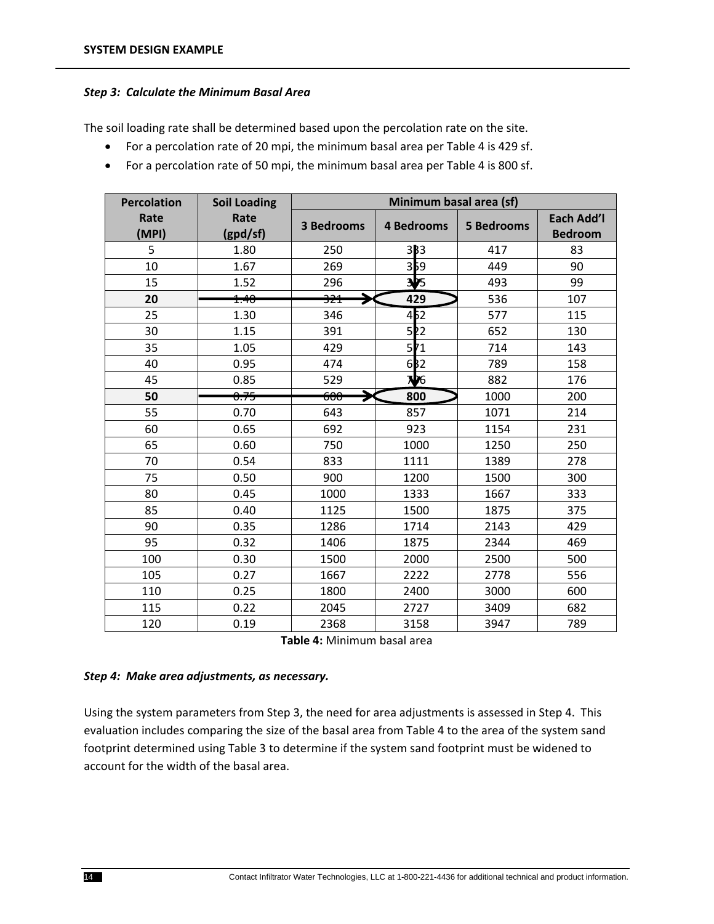#### *Step 3: Calculate the Minimum Basal Area*

The soil loading rate shall be determined based upon the percolation rate on the site.

- For a percolation rate of 20 mpi, the minimum basal area per Table 4 is 429 sf.
- For a percolation rate of 50 mpi, the minimum basal area per Table 4 is 800 sf.

| <b>Percolation</b> | <b>Soil Loading</b> | Minimum basal area (sf) |                   |                   |                              |
|--------------------|---------------------|-------------------------|-------------------|-------------------|------------------------------|
| Rate<br>(MPI)      | Rate<br>(gpd/sf)    | <b>3 Bedrooms</b>       | <b>4 Bedrooms</b> | <b>5 Bedrooms</b> | Each Add'l<br><b>Bedroom</b> |
| 5                  | 1.80                | 250                     | 3B3               | 417               | 83                           |
| 10                 | 1.67                | 269                     | 359               | 449               | 90                           |
| 15                 | 1.52                | 296                     | $\frac{1}{2}$     | 493               | 99                           |
| 20                 | 1.40                | <del>321</del>          | 429               | 536               | 107                          |
| 25                 | 1.30                | 346                     | 4 <sub>b2</sub>   | 577               | 115                          |
| 30                 | 1.15                | 391                     | 52                | 652               | 130                          |
| 35                 | 1.05                | 429                     | 511               | 714               | 143                          |
| 40                 | 0.95                | 474                     | 632               | 789               | 158                          |
| 45                 | 0.85                | 529                     | $\mathbf{W}$ 6    | 882               | 176                          |
| 50                 | <del>0.75</del>     | <del>600</del>          | 800               | 1000              | 200                          |
| 55                 | 0.70                | 643                     | 857               | 1071              | 214                          |
| 60                 | 0.65                | 692                     | 923               | 1154              | 231                          |
| 65                 | 0.60                | 750                     | 1000              | 1250              | 250                          |
| 70                 | 0.54                | 833                     | 1111              | 1389              | 278                          |
| 75                 | 0.50                | 900                     | 1200              | 1500              | 300                          |
| 80                 | 0.45                | 1000                    | 1333              | 1667              | 333                          |
| 85                 | 0.40                | 1125                    | 1500              | 1875              | 375                          |
| 90                 | 0.35                | 1286                    | 1714              | 2143              | 429                          |
| 95                 | 0.32                | 1406                    | 1875              | 2344              | 469                          |
| 100                | 0.30                | 1500                    | 2000              | 2500              | 500                          |
| 105                | 0.27                | 1667                    | 2222              | 2778              | 556                          |
| 110                | 0.25                | 1800                    | 2400              | 3000              | 600                          |
| 115                | 0.22                | 2045                    | 2727              | 3409              | 682                          |
| 120                | 0.19                | 2368                    | 3158              | 3947              | 789                          |

**Table 4:** Minimum basal area

#### *Step 4: Make area adjustments, as necessary.*

Using the system parameters from Step 3, the need for area adjustments is assessed in Step 4. This evaluation includes comparing the size of the basal area from Table 4 to the area of the system sand footprint determined using Table 3 to determine if the system sand footprint must be widened to account for the width of the basal area.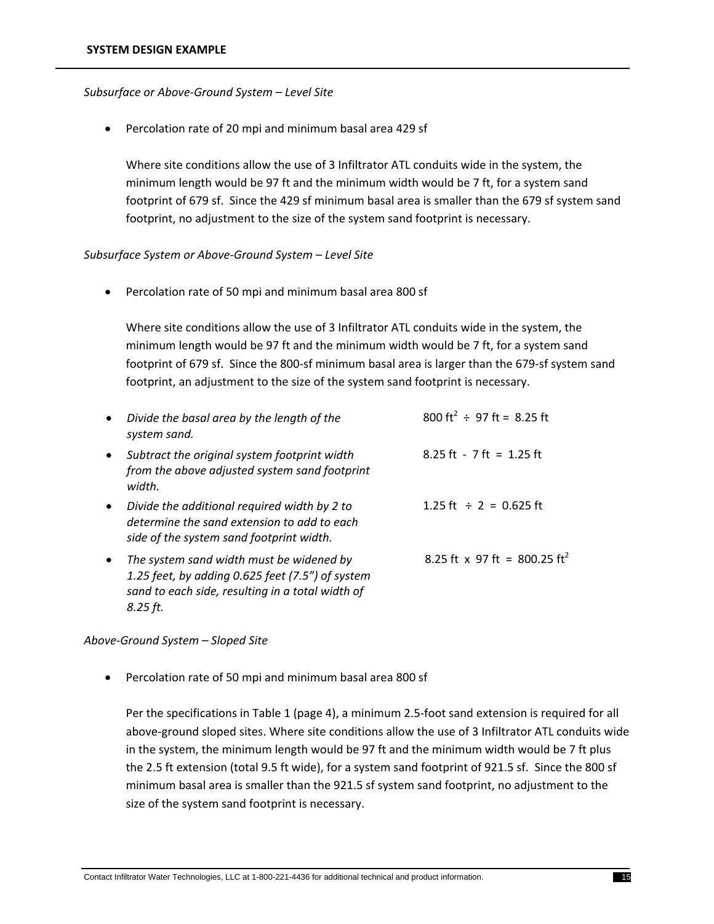#### *Subsurface or Above‐Ground System – Level Site*

Percolation rate of 20 mpi and minimum basal area 429 sf

Where site conditions allow the use of 3 Infiltrator ATL conduits wide in the system, the minimum length would be 97 ft and the minimum width would be 7 ft, for a system sand footprint of 679 sf. Since the 429 sf minimum basal area is smaller than the 679 sf system sand footprint, no adjustment to the size of the system sand footprint is necessary.

#### *Subsurface System or Above‐Ground System – Level Site*

Percolation rate of 50 mpi and minimum basal area 800 sf

Where site conditions allow the use of 3 Infiltrator ATL conduits wide in the system, the minimum length would be 97 ft and the minimum width would be 7 ft, for a system sand footprint of 679 sf. Since the 800-sf minimum basal area is larger than the 679-sf system sand footprint, an adjustment to the size of the system sand footprint is necessary.

| $\bullet$ | Divide the basal area by the length of the<br>system sand.                                                                                                   | 800 ft <sup>2</sup> $\div$ 97 ft = 8.25 ft  |
|-----------|--------------------------------------------------------------------------------------------------------------------------------------------------------------|---------------------------------------------|
| $\bullet$ | Subtract the original system footprint width<br>from the above adjusted system sand footprint<br>width.                                                      | $8.25$ ft - 7 ft = 1.25 ft                  |
| $\bullet$ | Divide the additional required width by 2 to<br>determine the sand extension to add to each<br>side of the system sand footprint width.                      | $1.25 \text{ ft} \div 2 = 0.625 \text{ ft}$ |
| $\bullet$ | The system sand width must be widened by<br>1.25 feet, by adding 0.625 feet (7.5") of system<br>sand to each side, resulting in a total width of<br>8.25 ft. | 8.25 ft x 97 ft = 800.25 ft <sup>2</sup>    |

#### *Above‐Ground System – Sloped Site*

Percolation rate of 50 mpi and minimum basal area 800 sf

Per the specifications in Table 1 (page 4), a minimum 2.5‐foot sand extension is required for all above‐ground sloped sites. Where site conditions allow the use of 3 Infiltrator ATL conduits wide in the system, the minimum length would be 97 ft and the minimum width would be 7 ft plus the 2.5 ft extension (total 9.5 ft wide), for a system sand footprint of 921.5 sf. Since the 800 sf minimum basal area is smaller than the 921.5 sf system sand footprint, no adjustment to the size of the system sand footprint is necessary.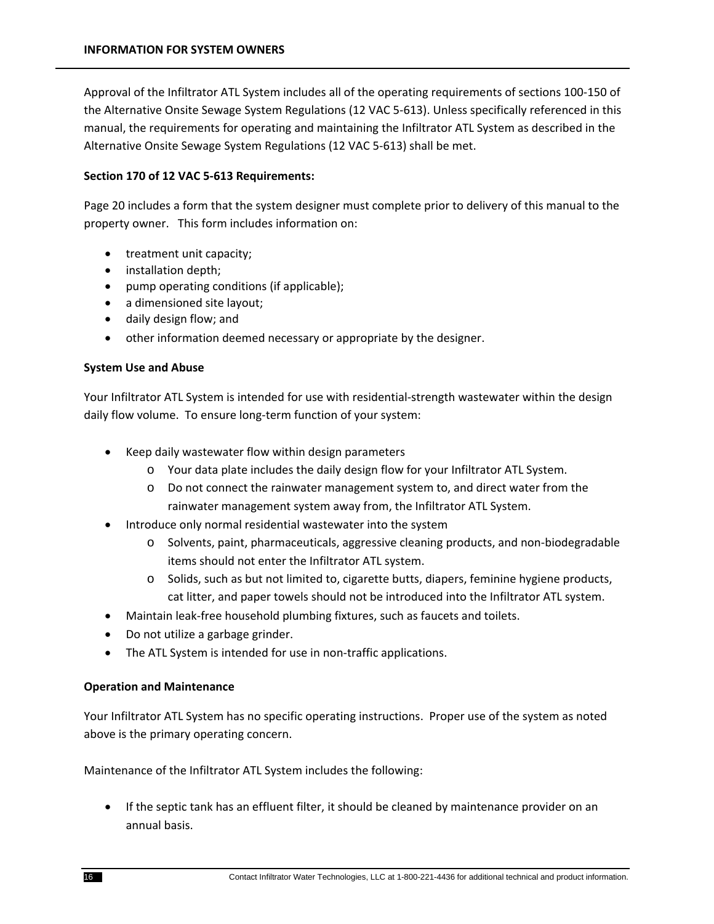Approval of the Infiltrator ATL System includes all of the operating requirements of sections 100‐150 of the Alternative Onsite Sewage System Regulations (12 VAC 5‐613). Unless specifically referenced in this manual, the requirements for operating and maintaining the Infiltrator ATL System as described in the Alternative Onsite Sewage System Regulations (12 VAC 5‐613) shall be met.

#### **Section 170 of 12 VAC 5‐613 Requirements:**

Page 20 includes a form that the system designer must complete prior to delivery of this manual to the property owner. This form includes information on:

- treatment unit capacity;
- installation depth;
- pump operating conditions (if applicable);
- a dimensioned site layout;
- daily design flow; and
- other information deemed necessary or appropriate by the designer.

#### **System Use and Abuse**

Your Infiltrator ATL System is intended for use with residential‐strength wastewater within the design daily flow volume. To ensure long‐term function of your system:

- Keep daily wastewater flow within design parameters
	- o Your data plate includes the daily design flow for your Infiltrator ATL System.
	- o Do not connect the rainwater management system to, and direct water from the rainwater management system away from, the Infiltrator ATL System.
- Introduce only normal residential wastewater into the system
	- o Solvents, paint, pharmaceuticals, aggressive cleaning products, and non‐biodegradable items should not enter the Infiltrator ATL system.
	- o Solids, such as but not limited to, cigarette butts, diapers, feminine hygiene products, cat litter, and paper towels should not be introduced into the Infiltrator ATL system.
- Maintain leak-free household plumbing fixtures, such as faucets and toilets.
- Do not utilize a garbage grinder.
- The ATL System is intended for use in non-traffic applications.

#### **Operation and Maintenance**

Your Infiltrator ATL System has no specific operating instructions. Proper use of the system as noted above is the primary operating concern.

Maintenance of the Infiltrator ATL System includes the following:

 If the septic tank has an effluent filter, it should be cleaned by maintenance provider on an annual basis.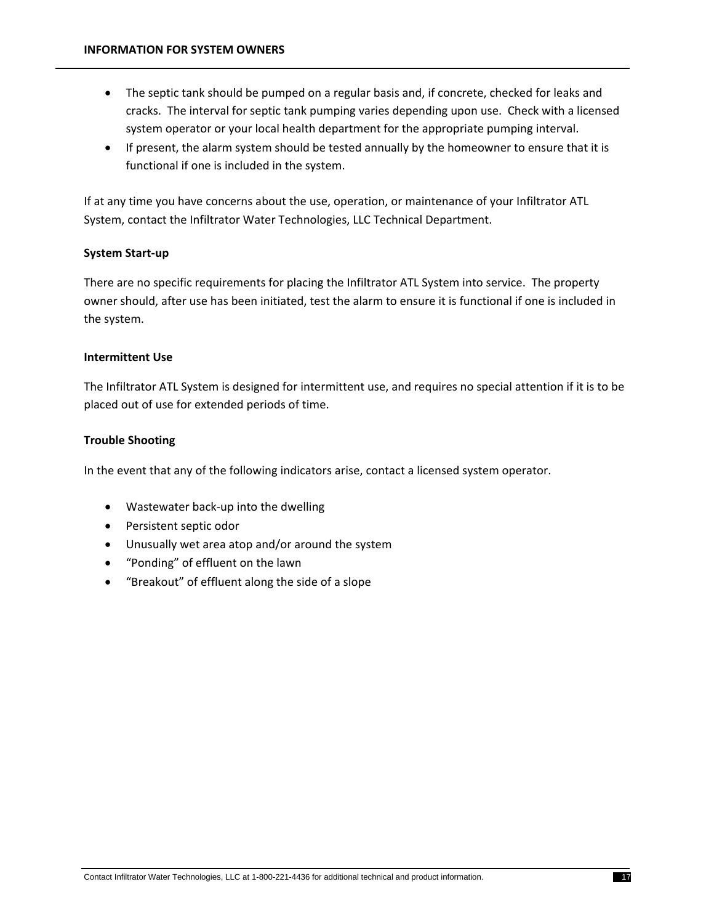- The septic tank should be pumped on a regular basis and, if concrete, checked for leaks and cracks. The interval for septic tank pumping varies depending upon use. Check with a licensed system operator or your local health department for the appropriate pumping interval.
- If present, the alarm system should be tested annually by the homeowner to ensure that it is functional if one is included in the system.

If at any time you have concerns about the use, operation, or maintenance of your Infiltrator ATL System, contact the Infiltrator Water Technologies, LLC Technical Department.

#### **System Start‐up**

There are no specific requirements for placing the Infiltrator ATL System into service. The property owner should, after use has been initiated, test the alarm to ensure it is functional if one is included in the system.

#### **Intermittent Use**

The Infiltrator ATL System is designed for intermittent use, and requires no special attention if it is to be placed out of use for extended periods of time.

#### **Trouble Shooting**

In the event that any of the following indicators arise, contact a licensed system operator.

- Wastewater back-up into the dwelling
- Persistent septic odor
- Unusually wet area atop and/or around the system
- "Ponding" of effluent on the lawn
- "Breakout" of effluent along the side of a slope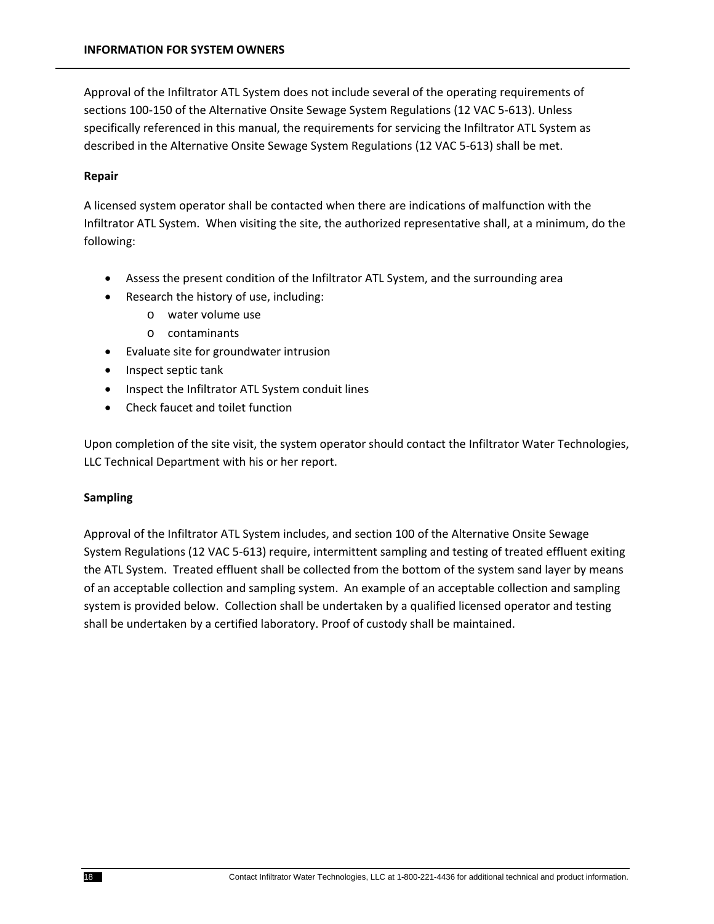Approval of the Infiltrator ATL System does not include several of the operating requirements of sections 100-150 of the Alternative Onsite Sewage System Regulations (12 VAC 5-613). Unless specifically referenced in this manual, the requirements for servicing the Infiltrator ATL System as described in the Alternative Onsite Sewage System Regulations (12 VAC 5‐613) shall be met.

#### **Repair**

A licensed system operator shall be contacted when there are indications of malfunction with the Infiltrator ATL System. When visiting the site, the authorized representative shall, at a minimum, do the following:

- Assess the present condition of the Infiltrator ATL System, and the surrounding area
- Research the history of use, including:
	- o water volume use
	- o contaminants
- Evaluate site for groundwater intrusion
- Inspect septic tank
- Inspect the Infiltrator ATL System conduit lines
- Check faucet and toilet function

Upon completion of the site visit, the system operator should contact the Infiltrator Water Technologies, LLC Technical Department with his or her report.

#### **Sampling**

Approval of the Infiltrator ATL System includes, and section 100 of the Alternative Onsite Sewage System Regulations (12 VAC 5‐613) require, intermittent sampling and testing of treated effluent exiting the ATL System. Treated effluent shall be collected from the bottom of the system sand layer by means of an acceptable collection and sampling system. An example of an acceptable collection and sampling system is provided below. Collection shall be undertaken by a qualified licensed operator and testing shall be undertaken by a certified laboratory. Proof of custody shall be maintained.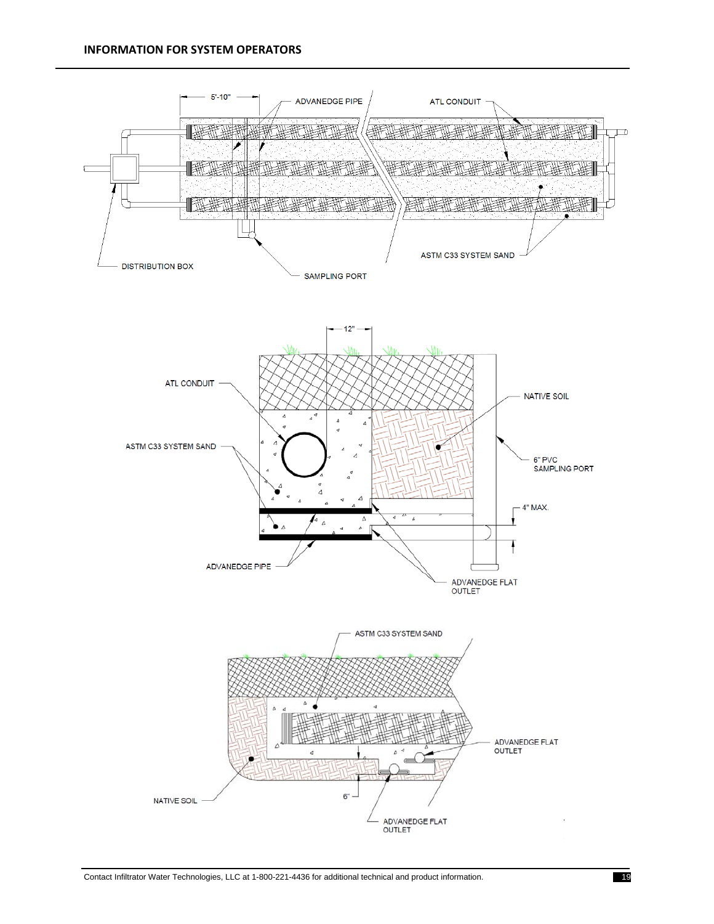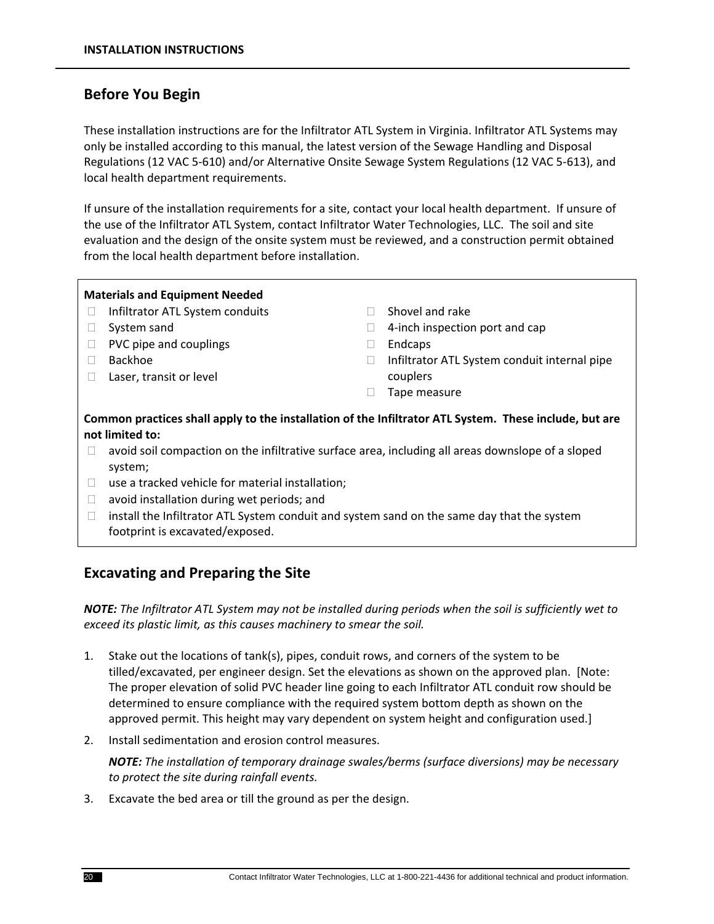## **Before You Begin**

These installation instructions are for the Infiltrator ATL System in Virginia. Infiltrator ATL Systems may only be installed according to this manual, the latest version of the Sewage Handling and Disposal Regulations (12 VAC 5‐610) and/or Alternative Onsite Sewage System Regulations (12 VAC 5‐613), and local health department requirements.

If unsure of the installation requirements for a site, contact your local health department. If unsure of the use of the Infiltrator ATL System, contact Infiltrator Water Technologies, LLC. The soil and site evaluation and the design of the onsite system must be reviewed, and a construction permit obtained from the local health department before installation.

#### **Materials and Equipment Needed**

- □ Infiltrator ATL System conduits
- □ System sand
- $\Box$  PVC pipe and couplings
- Backhoe
- □ Laser, transit or level
- $\Box$  Shovel and rake
- $\Box$  4-inch inspection port and cap
- $\Box$  Endcaps
- $\Box$  Infiltrator ATL System conduit internal pipe couplers
- **Tape measure**

#### **Common practices shall apply to the installation of the Infiltrator ATL System. These include, but are not limited to:**

- $\Box$  avoid soil compaction on the infiltrative surface area, including all areas downslope of a sloped system;
- $\Box$  use a tracked vehicle for material installation;
- $\Box$  avoid installation during wet periods; and
- $\Box$  install the Infiltrator ATL System conduit and system sand on the same day that the system footprint is excavated/exposed.

## **Excavating and Preparing the Site**

NOTE: The Infiltrator ATL System may not be installed during periods when the soil is sufficiently wet to *exceed its plastic limit, as this causes machinery to smear the soil.* 

- 1. Stake out the locations of tank(s), pipes, conduit rows, and corners of the system to be tilled/excavated, per engineer design. Set the elevations as shown on the approved plan. [Note: The proper elevation of solid PVC header line going to each Infiltrator ATL conduit row should be determined to ensure compliance with the required system bottom depth as shown on the approved permit. This height may vary dependent on system height and configuration used.]
- 2. Install sedimentation and erosion control measures.

*NOTE: The installation of temporary drainage swales/berms (surface diversions) may be necessary to protect the site during rainfall events.*

3. Excavate the bed area or till the ground as per the design.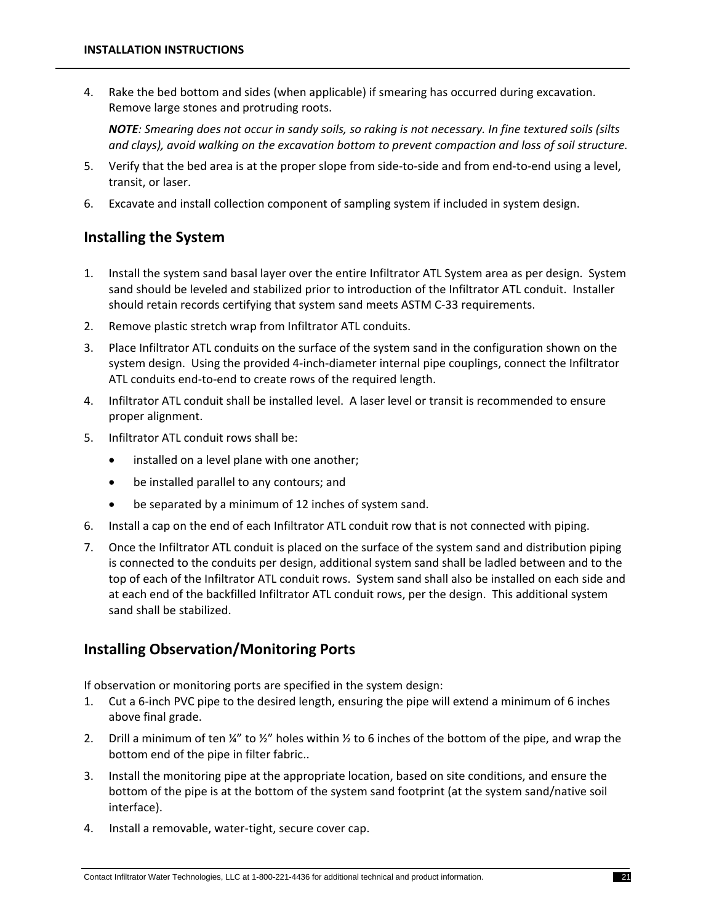4. Rake the bed bottom and sides (when applicable) if smearing has occurred during excavation. Remove large stones and protruding roots.

NOTE: Smearing does not occur in sandy soils, so raking is not necessary. In fine textured soils (silts *and clays), avoid walking on the excavation bottom to prevent compaction and loss of soil structure.*

- 5. Verify that the bed area is at the proper slope from side-to-side and from end-to-end using a level, transit, or laser.
- 6. Excavate and install collection component of sampling system if included in system design.

## **Installing the System**

- 1. Install the system sand basal layer over the entire Infiltrator ATL System area as per design. System sand should be leveled and stabilized prior to introduction of the Infiltrator ATL conduit. Installer should retain records certifying that system sand meets ASTM C‐33 requirements.
- 2. Remove plastic stretch wrap from Infiltrator ATL conduits.
- 3. Place Infiltrator ATL conduits on the surface of the system sand in the configuration shown on the system design. Using the provided 4‐inch‐diameter internal pipe couplings, connect the Infiltrator ATL conduits end‐to‐end to create rows of the required length.
- 4. Infiltrator ATL conduit shall be installed level. A laser level or transit is recommended to ensure proper alignment.
- 5. Infiltrator ATL conduit rows shall be:
	- installed on a level plane with one another;
	- be installed parallel to any contours; and
	- be separated by a minimum of 12 inches of system sand.
- 6. Install a cap on the end of each Infiltrator ATL conduit row that is not connected with piping.
- 7. Once the Infiltrator ATL conduit is placed on the surface of the system sand and distribution piping is connected to the conduits per design, additional system sand shall be ladled between and to the top of each of the Infiltrator ATL conduit rows. System sand shall also be installed on each side and at each end of the backfilled Infiltrator ATL conduit rows, per the design. This additional system sand shall be stabilized.

## **Installing Observation/Monitoring Ports**

If observation or monitoring ports are specified in the system design:

- 1. Cut a 6‐inch PVC pipe to the desired length, ensuring the pipe will extend a minimum of 6 inches above final grade.
- 2. Drill a minimum of ten  $\frac{1}{4}$ " to  $\frac{1}{2}$ " holes within  $\frac{1}{2}$  to 6 inches of the bottom of the pipe, and wrap the bottom end of the pipe in filter fabric..
- 3. Install the monitoring pipe at the appropriate location, based on site conditions, and ensure the bottom of the pipe is at the bottom of the system sand footprint (at the system sand/native soil interface).
- 4. Install a removable, water‐tight, secure cover cap.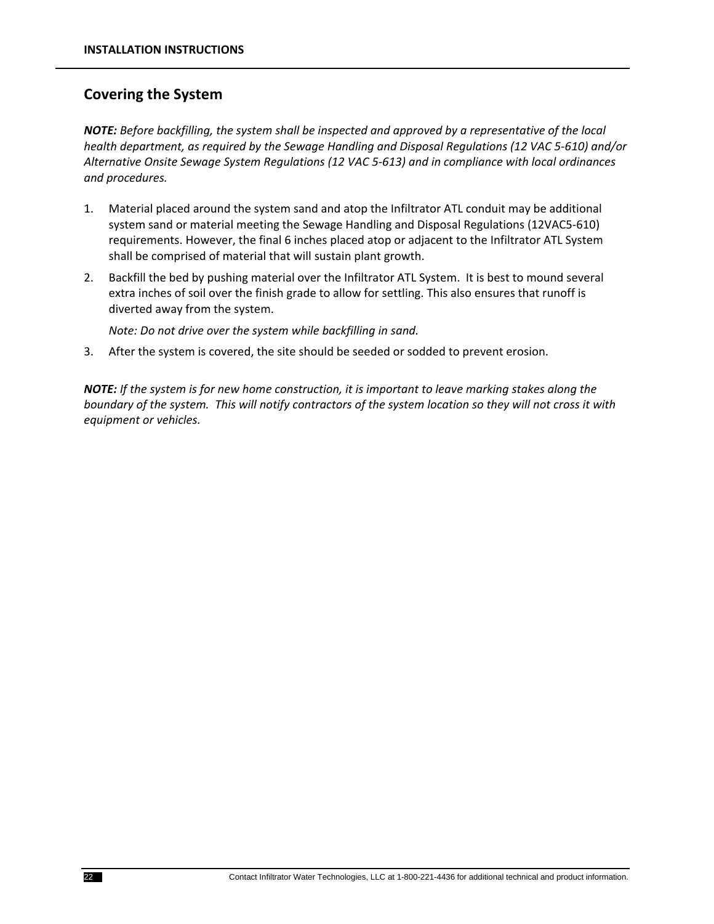## **Covering the System**

*NOTE: Before backfilling, the system shall be inspected and approved by a representative of the local health department, as required by the Sewage Handling and Disposal Regulations (12 VAC 5‐610) and/or Alternative Onsite Sewage System Regulations (12 VAC 5‐613) and in compliance with local ordinances and procedures.*

- 1. Material placed around the system sand and atop the Infiltrator ATL conduit may be additional system sand or material meeting the Sewage Handling and Disposal Regulations (12VAC5‐610) requirements. However, the final 6 inches placed atop or adjacent to the Infiltrator ATL System shall be comprised of material that will sustain plant growth.
- 2. Backfill the bed by pushing material over the Infiltrator ATL System. It is best to mound several extra inches of soil over the finish grade to allow for settling. This also ensures that runoff is diverted away from the system.

*Note: Do not drive over the system while backfilling in sand.*

3. After the system is covered, the site should be seeded or sodded to prevent erosion.

NOTE: If the system is for new home construction, it is important to leave marking stakes along the boundary of the system. This will notify contractors of the system location so they will not cross it with *equipment or vehicles.*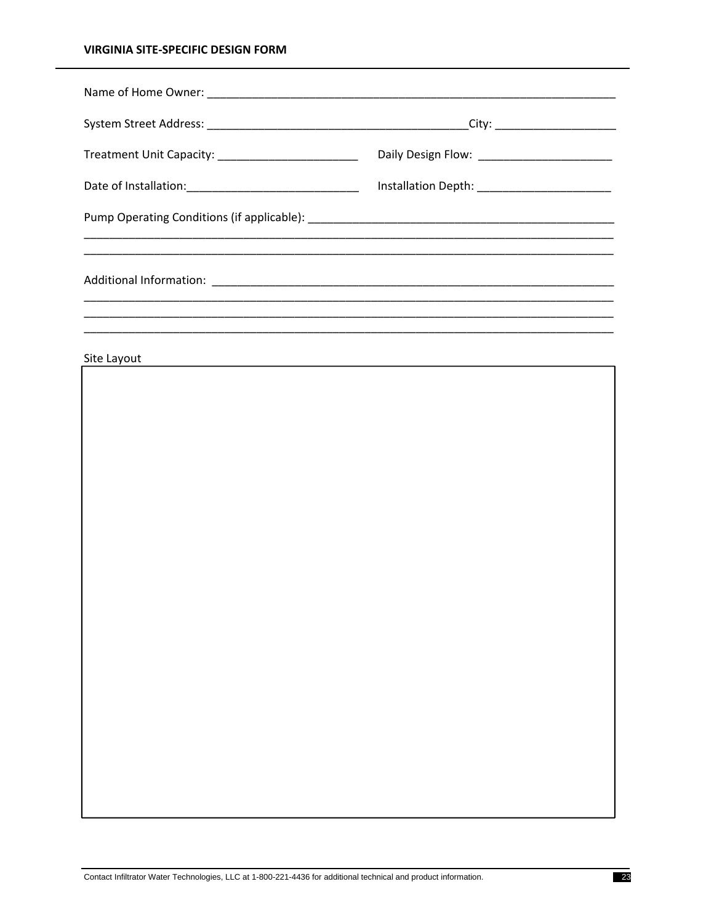#### **VIRGINIA SITE-SPECIFIC DESIGN FORM**

| <u> 1999 - John Harry Harry Harry Harry Harry Harry Harry Harry Harry Harry Harry Harry Harry Harry Harry Harry</u> |  |
|---------------------------------------------------------------------------------------------------------------------|--|
|                                                                                                                     |  |
|                                                                                                                     |  |
|                                                                                                                     |  |

Site Layout